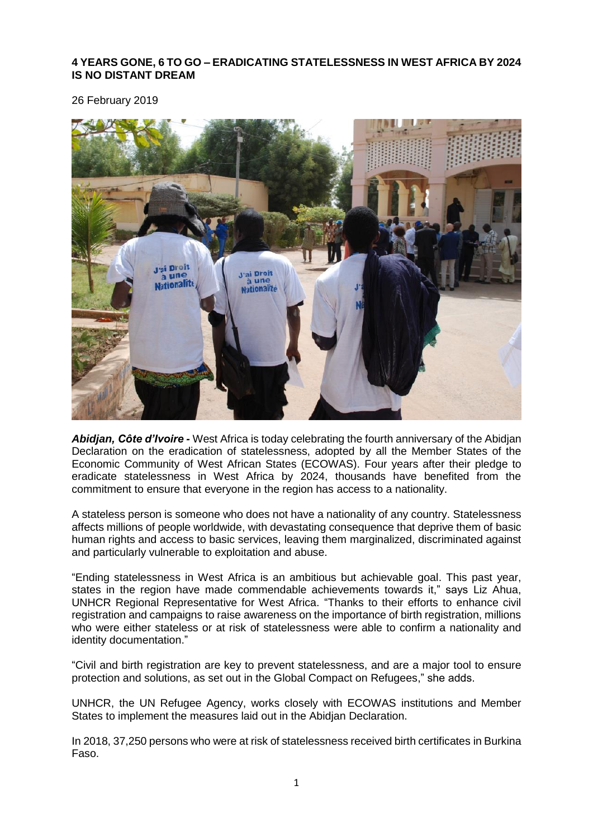## **4 YEARS GONE, 6 TO GO – ERADICATING STATELESSNESS IN WEST AFRICA BY 2024 IS NO DISTANT DREAM**

26 February 2019



*Abidjan, Côte d'Ivoire -* West Africa is today celebrating the fourth anniversary of the Abidjan Declaration on the eradication of statelessness, adopted by all the Member States of the Economic Community of West African States (ECOWAS). Four years after their pledge to eradicate statelessness in West Africa by 2024, thousands have benefited from the commitment to ensure that everyone in the region has access to a nationality.

A stateless person is someone who does not have a nationality of any country. Statelessness affects millions of people worldwide, with devastating consequence that deprive them of basic human rights and access to basic services, leaving them marginalized, discriminated against and particularly vulnerable to exploitation and abuse.

"Ending statelessness in West Africa is an ambitious but achievable goal. This past year, states in the region have made commendable achievements towards it," says Liz Ahua, UNHCR Regional Representative for West Africa. "Thanks to their efforts to enhance civil registration and campaigns to raise awareness on the importance of birth registration, millions who were either stateless or at risk of statelessness were able to confirm a nationality and identity documentation."

"Civil and birth registration are key to prevent statelessness, and are a major tool to ensure protection and solutions, as set out in the Global Compact on Refugees," she adds.

UNHCR, the UN Refugee Agency, works closely with ECOWAS institutions and Member States to implement the measures laid out in the Abidjan Declaration.

In 2018, 37,250 persons who were at risk of statelessness received birth certificates in Burkina Faso.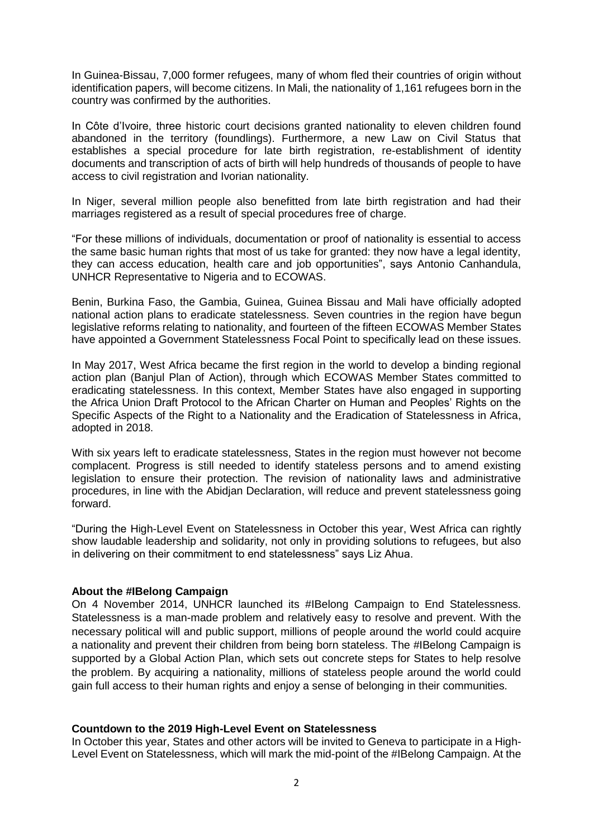In Guinea-Bissau, 7,000 former refugees, many of whom fled their countries of origin without identification papers, will become citizens. In Mali, the nationality of 1,161 refugees born in the country was confirmed by the authorities.

In Côte d'Ivoire, three historic court decisions granted nationality to eleven children found abandoned in the territory (foundlings). Furthermore, a new Law on Civil Status that establishes a special procedure for late birth registration, re-establishment of identity documents and transcription of acts of birth will help hundreds of thousands of people to have access to civil registration and Ivorian nationality.

In Niger, several million people also benefitted from late birth registration and had their marriages registered as a result of special procedures free of charge.

"For these millions of individuals, documentation or proof of nationality is essential to access the same basic human rights that most of us take for granted: they now have a legal identity, they can access education, health care and job opportunities", says Antonio Canhandula, UNHCR Representative to Nigeria and to ECOWAS.

Benin, Burkina Faso, the Gambia, Guinea, Guinea Bissau and Mali have officially adopted national action plans to eradicate statelessness. Seven countries in the region have begun legislative reforms relating to nationality, and fourteen of the fifteen ECOWAS Member States have appointed a Government Statelessness Focal Point to specifically lead on these issues.

In May 2017, West Africa became the first region in the world to develop a binding regional action plan (Banjul Plan of Action), through which ECOWAS Member States committed to eradicating statelessness. In this context, Member States have also engaged in supporting the Africa Union Draft Protocol to the African Charter on Human and Peoples' Rights on the Specific Aspects of the Right to a Nationality and the Eradication of Statelessness in Africa, adopted in 2018.

With six years left to eradicate statelessness. States in the region must however not become complacent. Progress is still needed to identify stateless persons and to amend existing legislation to ensure their protection. The revision of nationality laws and administrative procedures, in line with the Abidjan Declaration, will reduce and prevent statelessness going forward.

"During the High-Level Event on Statelessness in October this year, West Africa can rightly show laudable leadership and solidarity, not only in providing solutions to refugees, but also in delivering on their commitment to end statelessness" says Liz Ahua.

## **About the #IBelong Campaign**

On 4 November 2014, UNHCR launched its #IBelong Campaign to End Statelessness. Statelessness is a man-made problem and relatively easy to resolve and prevent. With the necessary political will and public support, millions of people around the world could acquire a nationality and prevent their children from being born stateless. The #IBelong Campaign is supported by a Global Action Plan, which sets out concrete steps for States to help resolve the problem. By acquiring a nationality, millions of stateless people around the world could gain full access to their human rights and enjoy a sense of belonging in their communities.

## **Countdown to the 2019 High-Level Event on Statelessness**

In October this year, States and other actors will be invited to Geneva to participate in a High-Level Event on Statelessness, which will mark the mid-point of the #IBelong Campaign. At the